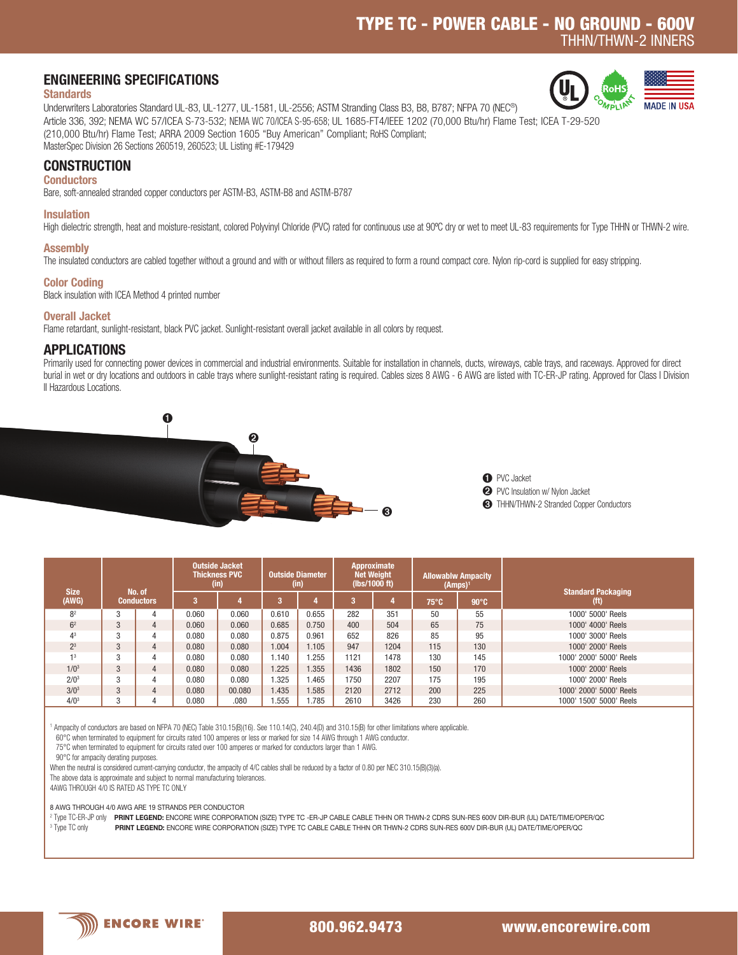# TYPE TC - POWER CABLE - NO GROUND - 600V THHN/THWN-2 INNERS

**MADE IN II** 

## ENGINEERING SPECIFICATIONS

#### **Standards**

OMPLIAN Underwriters Laboratories Standard UL-83, UL-1277, UL-1581, UL-2556; ASTM Stranding Class B3, B8, B787; NFPA 70 (NEC®) Article 336, 392; NEMA WC 57/ICEA S-73-532; NEMA WC 70/ICEA S-95-658; UL 1685-FT4/IEEE 1202 (70,000 Btu/hr) Flame Test; ICEA T-29-520 (210,000 Btu/hr) Flame Test; ARRA 2009 Section 1605 "Buy American" Compliant; RoHS Compliant; MasterSpec Division 26 Sections 260519, 260523; UL Listing #E-179429

## **CONSTRUCTION**

### **Conductors**

Bare, soft-annealed stranded copper conductors per ASTM-B3, ASTM-B8 and ASTM-B787

### Insulation

High dielectric strength, heat and moisture-resistant, colored Polyvinyl Chloride (PVC) rated for continuous use at 90°C dry or wet to meet UL-83 requirements for Type THHN or THWN-2 wire.

## Assembly

The insulated conductors are cabled together without a ground and with or without fillers as required to form a round compact core. Nylon rip-cord is supplied for easy stripping.

## Color Coding

Black insulation with ICEA Method 4 printed number

## Overall Jacket

Flame retardant, sunlight-resistant, black PVC jacket. Sunlight-resistant overall jacket available in all colors by request.

## APPLICATIONS

Primarily used for connecting power devices in commercial and industrial environments. Suitable for installation in channels, ducts, wireways, cable trays, and raceways. Approved for direct burial in wet or dry locations and outdoors in cable trays where sunlight-resistant rating is required. Cables sizes 8 AWG - 6 AWG are listed with TC-ER-JP rating. Approved for Class I Division II Hazardous Locations.



➊ PVC Jacket ➋ PVC Insulation w/ Nylon Jacket ➌ THHN/THWN-2 Stranded Copper Conductors

| <b>Size</b>      |                             |                | Outside Jacket<br><b>Thickness PVC</b><br>(in) |        | <b>Outside Diameter</b><br>(in) |       | Approximate<br><b>Net Weight</b><br>(Ibs/1000 ft) |      | <b>Allowablw Ampacity</b><br>$(Amps)^1$ |                | <b>Standard Packaging</b> |  |
|------------------|-----------------------------|----------------|------------------------------------------------|--------|---------------------------------|-------|---------------------------------------------------|------|-----------------------------------------|----------------|---------------------------|--|
| (AWG)            | No. of<br><b>Conductors</b> |                | з                                              |        |                                 |       | 3                                                 |      | $75^{\circ}$ C                          | $90^{\circ}$ C | (t)                       |  |
| 8 <sup>2</sup>   | 3                           | 4              | 0.060                                          | 0.060  | 0.610                           | 0.655 | 282                                               | 351  | 50                                      | 55             | 1000' 5000' Reels         |  |
| 6 <sup>2</sup>   | 3                           | $\overline{4}$ | 0.060                                          | 0.060  | 0.685                           | 0.750 | 400                                               | 504  | 65                                      | 75             | 1000' 4000' Reels         |  |
| 4 <sup>3</sup>   | 3                           | 4              | 0.080                                          | 0.080  | 0.875                           | 0.961 | 652                                               | 826  | 85                                      | 95             | 1000' 3000' Reels         |  |
| 2 <sup>3</sup>   | 3                           | $\overline{4}$ | 0.080                                          | 0.080  | 1.004                           | 1.105 | 947                                               | 1204 | 115                                     | 130            | 1000' 2000' Reels         |  |
| 13               | 3                           | 4              | 0.080                                          | 0.080  | 1.140                           | .255  | 1121                                              | 1478 | 130                                     | 145            | 1000' 2000' 5000' Reels   |  |
| 1/0 <sup>3</sup> | 3                           | $\overline{4}$ | 0.080                                          | 0.080  | 1.225                           | 1.355 | 1436                                              | 1802 | 150                                     | 170            | 1000' 2000' Reels         |  |
| 2/0 <sup>3</sup> | 3                           | 4              | 0.080                                          | 0.080  | 1.325                           | .465  | 1750                                              | 2207 | 175                                     | 195            | 1000' 2000' Reels         |  |
| $3/0^3$          | 3                           | $\overline{4}$ | 0.080                                          | 00.080 | .435                            | .585  | 2120                                              | 2712 | 200                                     | 225            | 1000' 2000' 5000' Reels   |  |
| 4/0 <sup>3</sup> | 3                           | 4              | 0.080                                          | .080   | .555                            | .785  | 2610                                              | 3426 | 230                                     | 260            | 1000' 1500' 5000' Reels   |  |

1 Ampacity of conductors are based on NFPA 70 (NEC) Table 310.15(B)(16). See 110.14(C), 240.4(D) and 310.15(B) for other limitations where applicable.

60°C when terminated to equipment for circuits rated 100 amperes or less or marked for size 14 AWG through 1 AWG conductor.

75°C when terminated to equipment for circuits rated over 100 amperes or marked for conductors larger than 1 AWG.

90°C for ampacity derating purposes.

When the neutral is considered current-carrying conductor, the ampacity of 4/C cables shall be reduced by a factor of 0.80 per NEC 310.15(B)(3)(a).

The above data is approximate and subject to normal manufacturing tolerances.

4AWG THROUGH 4/0 IS RATED AS TYPE TC ONLY

8 AWG THROUGH 4/0 AWG ARE 19 STRANDS PER CONDUCTOR

<sup>2</sup> Type TC-ER-JP only PRINT LEGEND: ENCORE WIRE CORPORATION (SIZE) TYPE TC -ER-JP CABLE CABLE THHN OR THWN-2 CDRS SUN-RES 600V DIR-BUR (UL) DATE/TIME/OPER/QC

<sup>3</sup> Type TC only **PRINT LEGEND:** ENCORE WIRE CORPORATION (SIZE) TYPE TC CABLE CABLE THHN OR THWN-2 CDRS SUN-RES 600V DIR-BUR (UL) DATE/TIME/OPER/QC